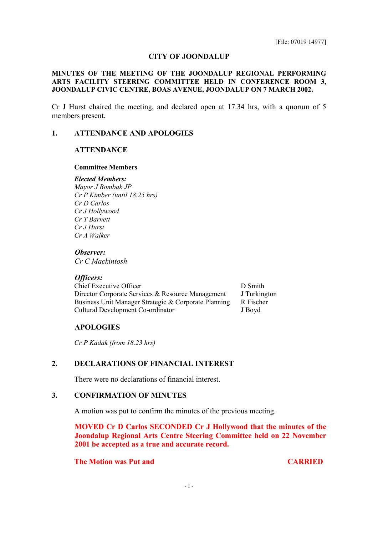## **CITY OF JOONDALUP**

## **MINUTES OF THE MEETING OF THE JOONDALUP REGIONAL PERFORMING ARTS FACILITY STEERING COMMITTEE HELD IN CONFERENCE ROOM 3, JOONDALUP CIVIC CENTRE, BOAS AVENUE, JOONDALUP ON 7 MARCH 2002.**

Cr J Hurst chaired the meeting, and declared open at 17.34 hrs, with a quorum of 5 members present.

## **1. ATTENDANCE AND APOLOGIES**

## **ATTENDANCE**

#### **Committee Members**

*Elected Members: Mayor J Bombak JP Cr P Kimber (until 18.25 hrs) Cr D Carlos Cr J Hollywood Cr T Barnett Cr J Hurst Cr A Walker*

#### *Observer:*

*Cr C Mackintosh*

#### *Officers:*

Chief Executive Officer D Smith Director Corporate Services & Resource Management J Turkington Business Unit Manager Strategic & Corporate Planning R Fischer Cultural Development Co-ordinator J Boyd

#### **APOLOGIES**

*Cr P Kadak (from 18.23 hrs)*

## **2. DECLARATIONS OF FINANCIAL INTEREST**

There were no declarations of financial interest.

## **3. CONFIRMATION OF MINUTES**

A motion was put to confirm the minutes of the previous meeting.

**MOVED Cr D Carlos SECONDED Cr J Hollywood that the minutes of the Joondalup Regional Arts Centre Steering Committee held on 22 November 2001 be accepted as a true and accurate record.**

## **The Motion was Put and CARRIED CARRIED**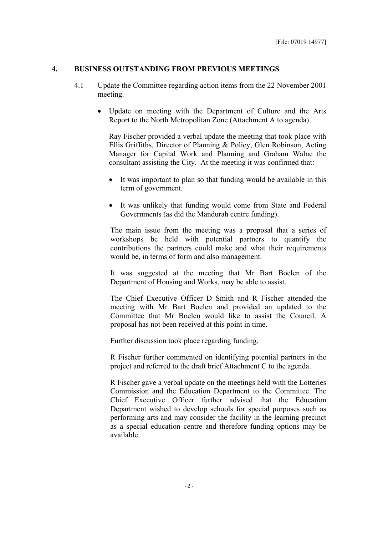## **4. BUSINESS OUTSTANDING FROM PREVIOUS MEETINGS**

- 4.1 Update the Committee regarding action items from the 22 November 2001 meeting.
	- Update on meeting with the Department of Culture and the Arts Report to the North Metropolitan Zone (Attachment A to agenda).

Ray Fischer provided a verbal update the meeting that took place with Ellis Griffiths, Director of Planning & Policy, Glen Robinson, Acting Manager for Capital Work and Planning and Graham Walne the consultant assisting the City. At the meeting it was confirmed that:

- It was important to plan so that funding would be available in this term of government.
- It was unlikely that funding would come from State and Federal Governments (as did the Mandurah centre funding).

The main issue from the meeting was a proposal that a series of workshops be held with potential partners to quantify the contributions the partners could make and what their requirements would be, in terms of form and also management.

It was suggested at the meeting that Mr Bart Boelen of the Department of Housing and Works, may be able to assist.

The Chief Executive Officer D Smith and R Fischer attended the meeting with Mr Bart Boelen and provided an updated to the Committee that Mr Boelen would like to assist the Council. A proposal has not been received at this point in time.

Further discussion took place regarding funding.

R Fischer further commented on identifying potential partners in the project and referred to the draft brief Attachment C to the agenda.

R Fischer gave a verbal update on the meetings held with the Lotteries Commission and the Education Department to the Committee. The Chief Executive Officer further advised that the Education Department wished to develop schools for special purposes such as performing arts and may consider the facility in the learning precinct as a special education centre and therefore funding options may be available.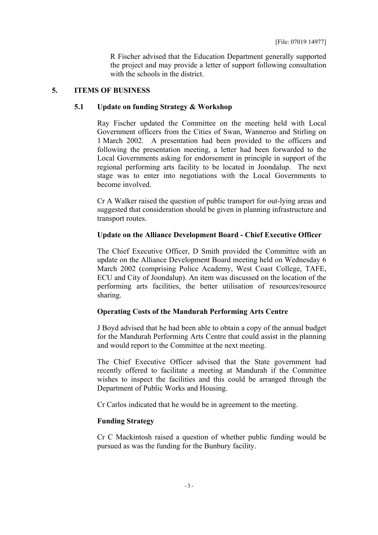R Fischer advised that the Education Department generally supported the project and may provide a letter of support following consultation with the schools in the district.

## **5. ITEMS OF BUSINESS**

## **5.1 Update on funding Strategy & Workshop**

Ray Fischer updated the Committee on the meeting held with Local Government officers from the Cities of Swan, Wanneroo and Stirling on 1 March 2002. A presentation had been provided to the officers and following the presentation meeting, a letter had been forwarded to the Local Governments asking for endorsement in principle in support of the regional performing arts facility to be located in Joondalup. The next stage was to enter into negotiations with the Local Governments to become involved.

Cr A Walker raised the question of public transport for out-lying areas and suggested that consideration should be given in planning infrastructure and transport routes.

# **Update on the Alliance Development Board - Chief Executive Officer**

The Chief Executive Officer, D Smith provided the Committee with an update on the Alliance Development Board meeting held on Wednesday 6 March 2002 (comprising Police Academy, West Coast College, TAFE, ECU and City of Joondalup). An item was discussed on the location of the performing arts facilities, the better utilisation of resources/resource sharing.

# **Operating Costs of the Mandurah Performing Arts Centre**

J Boyd advised that he had been able to obtain a copy of the annual budget for the Mandurah Performing Arts Centre that could assist in the planning and would report to the Committee at the next meeting.

The Chief Executive Officer advised that the State government had recently offered to facilitate a meeting at Mandurah if the Committee wishes to inspect the facilities and this could be arranged through the Department of Public Works and Housing.

Cr Carlos indicated that he would be in agreement to the meeting.

# **Funding Strategy**

Cr C Mackintosh raised a question of whether public funding would be pursued as was the funding for the Bunbury facility.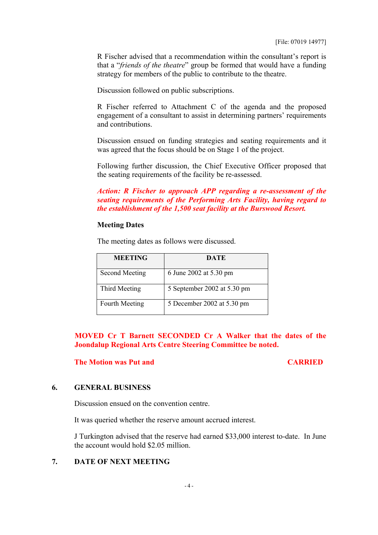R Fischer advised that a recommendation within the consultant's report is that a "*friends of the theatre*" group be formed that would have a funding strategy for members of the public to contribute to the theatre.

Discussion followed on public subscriptions.

R Fischer referred to Attachment C of the agenda and the proposed engagement of a consultant to assist in determining partners' requirements and contributions.

Discussion ensued on funding strategies and seating requirements and it was agreed that the focus should be on Stage 1 of the project.

Following further discussion, the Chief Executive Officer proposed that the seating requirements of the facility be re-assessed.

*Action: R Fischer to approach APP regarding a re-assessment of the seating requirements of the Performing Arts Facility, having regard to the establishment of the 1,500 seat facility at the Burswood Resort.*

## **Meeting Dates**

The meeting dates as follows were discussed.

| <b>MEETING</b>        | DATE                        |
|-----------------------|-----------------------------|
| Second Meeting        | 6 June 2002 at 5.30 pm      |
| Third Meeting         | 5 September 2002 at 5.30 pm |
| <b>Fourth Meeting</b> | 5 December 2002 at 5.30 pm  |

**MOVED Cr T Barnett SECONDED Cr A Walker that the dates of the Joondalup Regional Arts Centre Steering Committee be noted.**

## **The Motion was Put and CARRIED CARRIED**

## **6. GENERAL BUSINESS**

Discussion ensued on the convention centre.

It was queried whether the reserve amount accrued interest.

J Turkington advised that the reserve had earned \$33,000 interest to-date. In June the account would hold \$2.05 million.

## **7. DATE OF NEXT MEETING**